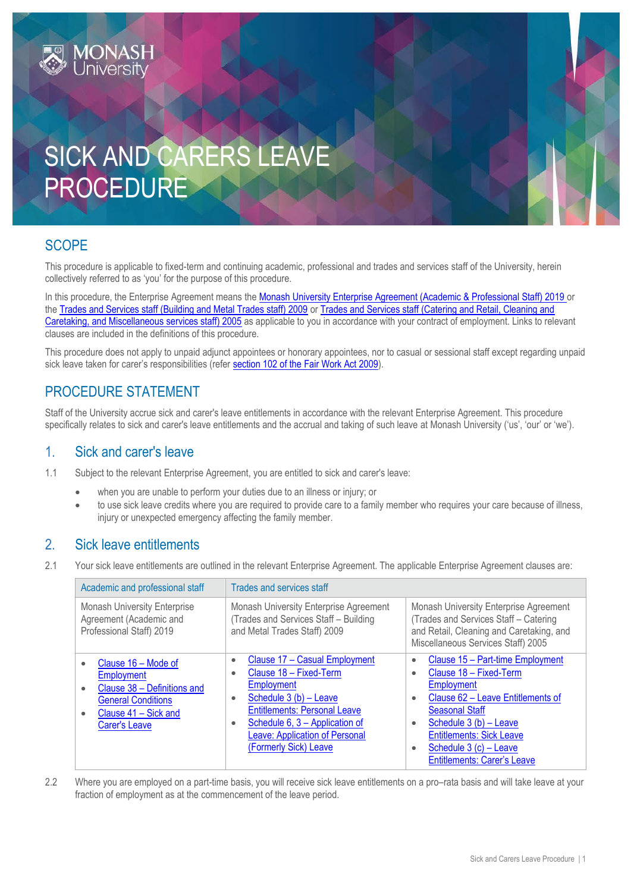# SICK AND CARERS LEAT PROCEDURE

## **SCOPE**

This procedure is applicable to fixed-term and continuing academic, professional and trades and services staff of the University, herein collectively referred to as 'you' for the purpose of this procedure.

In this procedure, the Enterprise Agreement means the [Monash University Enterprise Agreement \(Academic & Professional Staff\) 2019](https://www.monash.edu/current-enterprise-agreements/academic-professional-2019) or the [Trades and Services staff \(Building and Metal Trades staff\) 2009](https://www.monash.edu/current-enterprise-agreements/trades-services-bmt-2009) or [Trades and Services staff \(Catering and Retail, Cleaning and](https://www.monash.edu/current-enterprise-agreements/trades-services-crccm-2005)  [Caretaking, and Miscellaneous services staff\) 2005](https://www.monash.edu/current-enterprise-agreements/trades-services-crccm-2005) as applicable to you in accordance with your contract of employment. Links to relevant clauses are included in the definitions of this procedure.

This procedure does not apply to unpaid adjunct appointees or honorary appointees, nor to casual or sessional staff except regarding unpaid sick leave taken for carer's responsibilities (refer section 102 of the [Fair Work Act 2009\)](http://www.austlii.edu.au/au/legis/cth/consol_act/fwa2009114/s102.html).

## PROCEDURE STATEMENT

Staff of the University accrue sick and carer's leave entitlements in accordance with the relevant Enterprise Agreement. This procedure specifically relates to sick and carer's leave entitlements and the accrual and taking of such leave at Monash University ('us', 'our' or 'we').

#### 1. Sick and carer's leave

- 1.1 Subject to the relevant Enterprise Agreement, you are entitled to sick and carer's leave:
	- when you are unable to perform your duties due to an illness or injury; or
	- to use sick leave credits where you are required to provide care to a family member who requires your care because of illness, injury or unexpected emergency affecting the family member.

#### 2. Sick leave entitlements

2.1 Your sick leave entitlements are outlined in the relevant Enterprise Agreement. The applicable Enterprise Agreement clauses are:

| Academic and professional staff                                                                                                               | Trades and services staff                                                                                                                                                                                                                                                     |                                                                                                                                                                                                                                                                                                                                             |
|-----------------------------------------------------------------------------------------------------------------------------------------------|-------------------------------------------------------------------------------------------------------------------------------------------------------------------------------------------------------------------------------------------------------------------------------|---------------------------------------------------------------------------------------------------------------------------------------------------------------------------------------------------------------------------------------------------------------------------------------------------------------------------------------------|
| <b>Monash University Enterprise</b><br>Agreement (Academic and<br>Professional Staff) 2019                                                    | Monash University Enterprise Agreement<br>(Trades and Services Staff - Building<br>and Metal Trades Staff) 2009                                                                                                                                                               | Monash University Enterprise Agreement<br>(Trades and Services Staff - Catering<br>and Retail, Cleaning and Caretaking, and<br>Miscellaneous Services Staff) 2005                                                                                                                                                                           |
| Clause 16 – Mode of<br>Employment<br>Clause 38 - Definitions and<br><b>General Conditions</b><br>Clause 41 - Sick and<br><b>Carer's Leave</b> | Clause 17 - Casual Employment<br>$\bullet$<br>Clause 18 - Fixed-Term<br>۰<br><b>Employment</b><br>Schedule 3 (b) - Leave<br>۰<br><b>Entitlements: Personal Leave</b><br>Schedule 6, 3 - Application of<br>٠<br><b>Leave: Application of Personal</b><br>(Formerly Sick) Leave | Clause 15 - Part-time Employment<br>$\bullet$<br>Clause 18 - Fixed-Term<br>$\bullet$<br><b>Employment</b><br>Clause 62 - Leave Entitlements of<br>$\bullet$<br><b>Seasonal Staff</b><br>Schedule 3 (b) - Leave<br>$\bullet$<br><b>Entitlements: Sick Leave</b><br>Schedule 3 (c) - Leave<br>$\bullet$<br><b>Entitlements: Carer's Leave</b> |

2.2 Where you are employed on a part-time basis, you will receive sick leave entitlements on a pro–rata basis and will take leave at your fraction of employment as at the commencement of the leave period.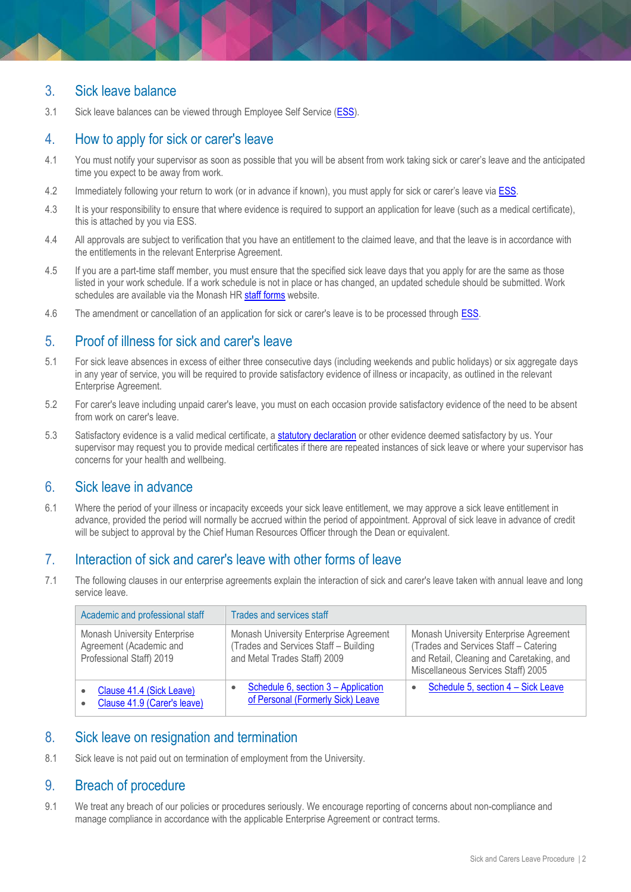#### 3. Sick leave balance

3.1 Sick leave balances can be viewed through Employee Self Service [\(ESS\)](http://www.adm.monash.edu.au/sss/ess/).

#### 4. How to apply for sick or carer's leave

- 4.1 You must notify your supervisor as soon as possible that you will be absent from work taking sick or carer's leave and the anticipated time you expect to be away from work.
- 4.2 Immediately following your return to work (or in advance if known), you must apply for sick or carer's leave vi[a ESS.](http://www.adm.monash.edu.au/sss/ess/)
- 4.3 It is your responsibility to ensure that where evidence is required to support an application for leave (such as a medical certificate), this is attached by you via ESS.
- 4.4 All approvals are subject to verification that you have an entitlement to the claimed leave, and that the leave is in accordance with the entitlements in the relevant Enterprise Agreement.
- 4.5 If you are a part-time staff member, you must ensure that the specified sick leave days that you apply for are the same as those listed in your work schedule. If a work schedule is not in place or has changed, an updated schedule should be submitted. Work schedules are available via the Monash HR [staff forms](http://www.adm.monash.edu.au/human-resources/forms/) website.
- 4.6 The amendment or cancellation of an application for sick or carer's leave is to be processed through **ESS**.

#### 5. Proof of illness for sick and carer's leave

- 5.1 For sick leave absences in excess of either three consecutive days (including weekends and public holidays) or six aggregate days in any year of service, you will be required to provide satisfactory evidence of illness or incapacity, as outlined in the relevant Enterprise Agreement.
- 5.2 For carer's leave including unpaid carer's leave, you must on each occasion provide satisfactory evidence of the need to be absent from work on carer's leave.
- 5.3 Satisfactory evidence is a valid medical certificate, a **[statutory declaration](http://www.intranet.monash/hr/assets/docs/tools-and-resources/forms/pdf/CommonwealthStatutorydeclarationform.PDF)** or other evidence deemed satisfactory by us. Your supervisor may request you to provide medical certificates if there are repeated instances of sick leave or where your supervisor has concerns for your health and wellbeing.

#### 6. Sick leave in advance

6.1 Where the period of your illness or incapacity exceeds your sick leave entitlement, we may approve a sick leave entitlement in advance, provided the period will normally be accrued within the period of appointment. Approval of sick leave in advance of credit will be subject to approval by the Chief Human Resources Officer through the Dean or equivalent.

#### 7. Interaction of sick and carer's leave with other forms of leave

7.1 The following clauses in our enterprise agreements explain the interaction of sick and carer's leave taken with annual leave and long service leave.

| Academic and professional staff                                                            | Trades and services staff                                                                                       |                                                                                                                                                                   |
|--------------------------------------------------------------------------------------------|-----------------------------------------------------------------------------------------------------------------|-------------------------------------------------------------------------------------------------------------------------------------------------------------------|
| <b>Monash University Enterprise</b><br>Agreement (Academic and<br>Professional Staff) 2019 | Monash University Enterprise Agreement<br>(Trades and Services Staff - Building<br>and Metal Trades Staff) 2009 | Monash University Enterprise Agreement<br>(Trades and Services Staff - Catering<br>and Retail, Cleaning and Caretaking, and<br>Miscellaneous Services Staff) 2005 |
| Clause 41.4 (Sick Leave)<br>Clause 41.9 (Carer's leave)                                    | Schedule 6, section 3 – Application<br>of Personal (Formerly Sick) Leave                                        | Schedule 5, section 4 - Sick Leave<br>٠                                                                                                                           |

#### 8. Sick leave on resignation and termination

8.1 Sick leave is not paid out on termination of employment from the University.

#### 9. Breach of procedure

9.1 We treat any breach of our policies or procedures seriously. We encourage reporting of concerns about non-compliance and manage compliance in accordance with the applicable Enterprise Agreement or contract terms.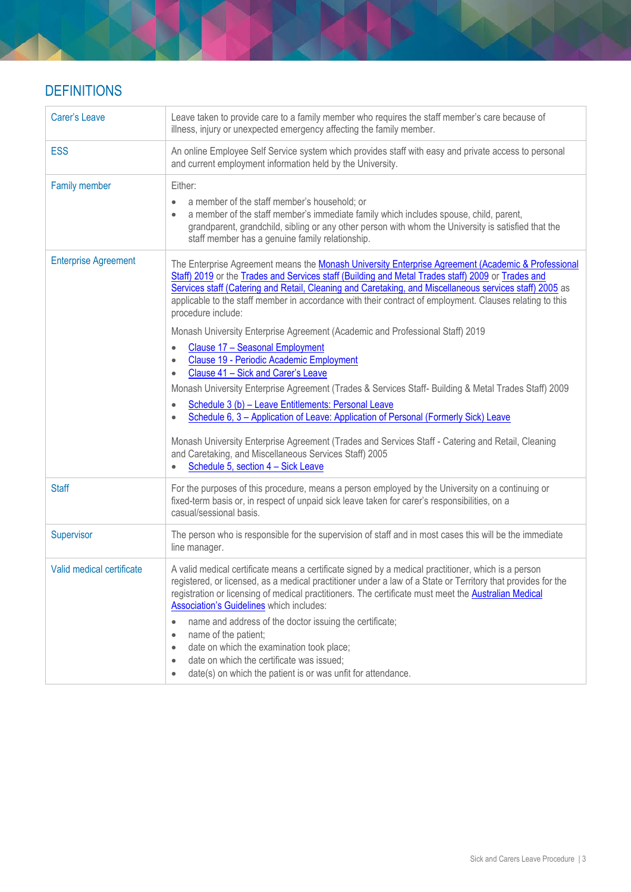## **DEFINITIONS**

| <b>Carer's Leave</b>        | Leave taken to provide care to a family member who requires the staff member's care because of<br>illness, injury or unexpected emergency affecting the family member.                                                                                                                                                                                                                                                                                                                                                                                                                                                                                                                                                                                                                                                                                                                                                                                                                                                                                                                                                                                                    |
|-----------------------------|---------------------------------------------------------------------------------------------------------------------------------------------------------------------------------------------------------------------------------------------------------------------------------------------------------------------------------------------------------------------------------------------------------------------------------------------------------------------------------------------------------------------------------------------------------------------------------------------------------------------------------------------------------------------------------------------------------------------------------------------------------------------------------------------------------------------------------------------------------------------------------------------------------------------------------------------------------------------------------------------------------------------------------------------------------------------------------------------------------------------------------------------------------------------------|
| <b>ESS</b>                  | An online Employee Self Service system which provides staff with easy and private access to personal<br>and current employment information held by the University.                                                                                                                                                                                                                                                                                                                                                                                                                                                                                                                                                                                                                                                                                                                                                                                                                                                                                                                                                                                                        |
| <b>Family member</b>        | Either:<br>a member of the staff member's household; or<br>$\bullet$<br>a member of the staff member's immediate family which includes spouse, child, parent,<br>$\bullet$<br>grandparent, grandchild, sibling or any other person with whom the University is satisfied that the<br>staff member has a genuine family relationship.                                                                                                                                                                                                                                                                                                                                                                                                                                                                                                                                                                                                                                                                                                                                                                                                                                      |
| <b>Enterprise Agreement</b> | The Enterprise Agreement means the Monash University Enterprise Agreement (Academic & Professional<br>Staff) 2019 or the Trades and Services staff (Building and Metal Trades staff) 2009 or Trades and<br>Services staff (Catering and Retail, Cleaning and Caretaking, and Miscellaneous services staff) 2005 as<br>applicable to the staff member in accordance with their contract of employment. Clauses relating to this<br>procedure include:<br>Monash University Enterprise Agreement (Academic and Professional Staff) 2019<br>Clause 17 - Seasonal Employment<br>Clause 19 - Periodic Academic Employment<br>$\bullet$<br>Clause 41 - Sick and Carer's Leave<br>$\bullet$<br>Monash University Enterprise Agreement (Trades & Services Staff- Building & Metal Trades Staff) 2009<br>Schedule 3 (b) - Leave Entitlements: Personal Leave<br>$\bullet$<br>Schedule 6, 3 - Application of Leave: Application of Personal (Formerly Sick) Leave<br>Monash University Enterprise Agreement (Trades and Services Staff - Catering and Retail, Cleaning<br>and Caretaking, and Miscellaneous Services Staff) 2005<br>Schedule 5, section 4 - Sick Leave<br>$\bullet$ |
| <b>Staff</b>                | For the purposes of this procedure, means a person employed by the University on a continuing or<br>fixed-term basis or, in respect of unpaid sick leave taken for carer's responsibilities, on a<br>casual/sessional basis.                                                                                                                                                                                                                                                                                                                                                                                                                                                                                                                                                                                                                                                                                                                                                                                                                                                                                                                                              |
| Supervisor                  | The person who is responsible for the supervision of staff and in most cases this will be the immediate<br>line manager.                                                                                                                                                                                                                                                                                                                                                                                                                                                                                                                                                                                                                                                                                                                                                                                                                                                                                                                                                                                                                                                  |
| Valid medical certificate   | A valid medical certificate means a certificate signed by a medical practitioner, which is a person<br>registered, or licensed, as a medical practitioner under a law of a State or Territory that provides for the<br>registration or licensing of medical practitioners. The certificate must meet the <b>Australian Medical</b><br>Association's Guidelines which includes:<br>name and address of the doctor issuing the certificate;<br>name of the patient;<br>$\bullet$<br>date on which the examination took place;<br>۰<br>date on which the certificate was issued;<br>۰<br>date(s) on which the patient is or was unfit for attendance.<br>۰                                                                                                                                                                                                                                                                                                                                                                                                                                                                                                                   |